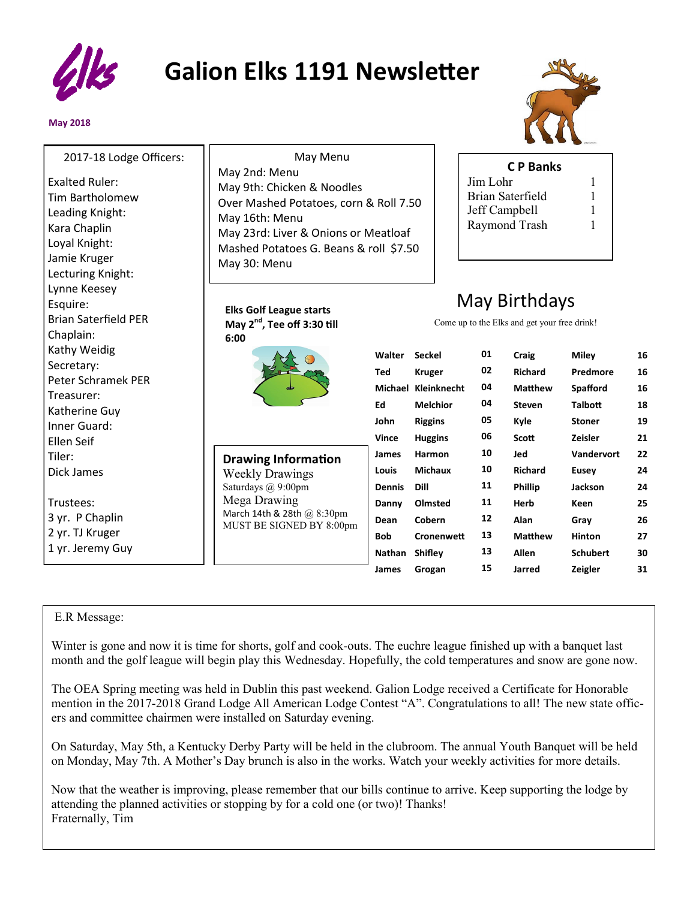

## **Galion Elks 1191 Newsletter**

٦٢

## **May 2018**



| 2017-18 Lodge Officers:<br>May 2nd: Menu<br><b>Exalted Ruler:</b><br>May 9th: Chicken & Noodles<br><b>Tim Bartholomew</b><br>Over Mashed Potatoes, corn & Roll 7.50<br>Leading Knight:<br>May 16th: Menu<br>Kara Chaplin<br>May 23rd: Liver & Onions or Meatloaf<br>Loyal Knight:<br>Mashed Potatoes G. Beans & roll \$7.50 | May Menu      |                     | Jim Lohr | <b>CP Banks</b><br><b>Brian Saterfield</b><br>Jeff Campbell<br>Raymond Trash | 1<br>$\mathbf{1}$<br>1 |    |
|-----------------------------------------------------------------------------------------------------------------------------------------------------------------------------------------------------------------------------------------------------------------------------------------------------------------------------|---------------|---------------------|----------|------------------------------------------------------------------------------|------------------------|----|
| Jamie Kruger<br>May 30: Menu<br>Lecturing Knight:<br>Lynne Keesey                                                                                                                                                                                                                                                           |               |                     |          |                                                                              |                        |    |
| Esquire:<br><b>Elks Golf League starts</b><br><b>Brian Saterfield PER</b><br>May 2 <sup>nd</sup> , Tee off 3:30 till<br>Chaplain:<br>6:00                                                                                                                                                                                   |               |                     |          | May Birthdays<br>Come up to the Elks and get your free drink!                |                        |    |
| Kathy Weidig<br>Secretary:                                                                                                                                                                                                                                                                                                  | Walter        | <b>Seckel</b>       | 01       | Craig                                                                        | <b>Miley</b>           | 16 |
| Peter Schramek PER                                                                                                                                                                                                                                                                                                          | <b>Ted</b>    | <b>Kruger</b>       | 02       | <b>Richard</b>                                                               | Predmore               | 16 |
| Treasurer:                                                                                                                                                                                                                                                                                                                  |               | Michael Kleinknecht | 04       | <b>Matthew</b>                                                               | <b>Spafford</b>        | 16 |
| Katherine Guy                                                                                                                                                                                                                                                                                                               | Ed            | <b>Melchior</b>     | 04       | <b>Steven</b>                                                                | <b>Talbott</b>         | 18 |
| Inner Guard:                                                                                                                                                                                                                                                                                                                | John          | <b>Riggins</b>      | 05       | Kyle                                                                         | <b>Stoner</b>          | 19 |
| Ellen Seif                                                                                                                                                                                                                                                                                                                  | <b>Vince</b>  | <b>Huggins</b>      | 06       | <b>Scott</b>                                                                 | <b>Zeisler</b>         | 21 |
| Tiler:<br><b>Drawing Information</b>                                                                                                                                                                                                                                                                                        | James         | Harmon              | 10       | Jed                                                                          | Vandervort             | 22 |
| Dick James<br><b>Weekly Drawings</b>                                                                                                                                                                                                                                                                                        | <b>Louis</b>  | <b>Michaux</b>      | 10       | <b>Richard</b>                                                               | <b>Eusey</b>           | 24 |
| Saturdays @ 9:00pm                                                                                                                                                                                                                                                                                                          | <b>Dennis</b> | Dill                | 11       | <b>Phillip</b>                                                               | <b>Jackson</b>         | 24 |
| Mega Drawing<br>Trustees:                                                                                                                                                                                                                                                                                                   | Danny         | Olmsted             | 11       | Herb                                                                         | <b>Keen</b>            | 25 |
| March 14th & 28th @ 8:30pm<br>3 yr. P Chaplin<br>MUST BE SIGNED BY 8:00pm                                                                                                                                                                                                                                                   | Dean          | Cobern              | 12       | Alan                                                                         | Gray                   | 26 |
| 2 yr. TJ Kruger                                                                                                                                                                                                                                                                                                             | <b>Bob</b>    | Cronenwett          | 13       | <b>Matthew</b>                                                               | <b>Hinton</b>          | 27 |
| 1 yr. Jeremy Guy                                                                                                                                                                                                                                                                                                            | Nathan        | Shifley             | 13       | <b>Allen</b>                                                                 | <b>Schubert</b>        | 30 |
|                                                                                                                                                                                                                                                                                                                             |               |                     |          |                                                                              |                        |    |

## E.R Message:

Winter is gone and now it is time for shorts, golf and cook-outs. The euchre league finished up with a banquet last month and the golf league will begin play this Wednesday. Hopefully, the cold temperatures and snow are gone now.

The OEA Spring meeting was held in Dublin this past weekend. Galion Lodge received a Certificate for Honorable mention in the 2017-2018 Grand Lodge All American Lodge Contest "A". Congratulations to all! The new state officers and committee chairmen were installed on Saturday evening.

On Saturday, May 5th, a Kentucky Derby Party will be held in the clubroom. The annual Youth Banquet will be held on Monday, May 7th. A Mother's Day brunch is also in the works. Watch your weekly activities for more details.

Now that the weather is improving, please remember that our bills continue to arrive. Keep supporting the lodge by attending the planned activities or stopping by for a cold one (or two)! Thanks! Fraternally, Tim